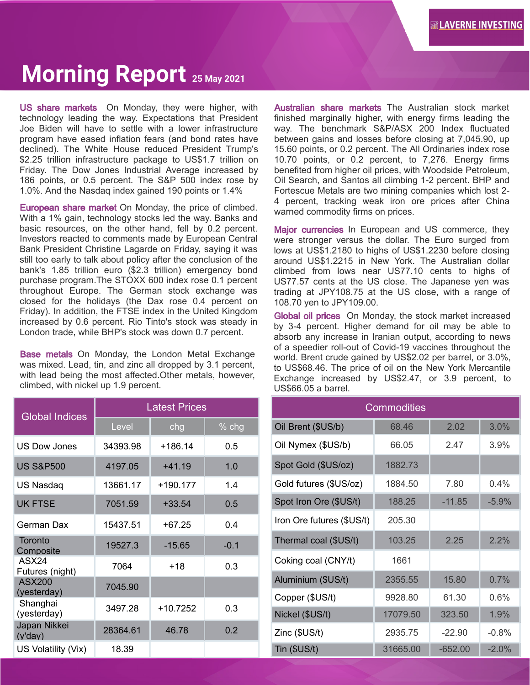## **Morning Report 25 May 2021**

US share markets On Monday, they were higher, with technology leading the way. Expectations that President Joe Biden will have to settle with a lower infrastructure program have eased inflation fears (and bond rates have declined). The White House reduced President Trump's \$2.25 trillion infrastructure package to US\$1.7 trillion on Friday. The Dow Jones Industrial Average increased by 186 points, or 0.5 percent. The S&P 500 index rose by 1.0%. And the Nasdaq index gained 190 points or 1.4%

European share market On Monday, the price of climbed. With a 1% gain, technology stocks led the way. Banks and basic resources, on the other hand, fell by 0.2 percent. Investors reacted to comments made by European Central Bank President Christine Lagarde on Friday, saying it was still too early to talk about policy after the conclusion of the bank's 1.85 trillion euro (\$2.3 trillion) emergency bond purchase program.The STOXX 600 index rose 0.1 percent throughout Europe. The German stock exchange was closed for the holidays (the Dax rose 0.4 percent on Friday). In addition, the FTSE index in the United Kingdom increased by 0.6 percent. Rio Tinto's stock was steady in London trade, while BHP's stock was down 0.7 percent.

Base metals On Monday, the London Metal Exchange was mixed. Lead, tin, and zinc all dropped by 3.1 percent, with lead being the most affected.Other metals, however, climbed, with nickel up 1.9 percent.

| <b>Global Indices</b>        | <b>Latest Prices</b> |          |        |  |
|------------------------------|----------------------|----------|--------|--|
|                              | Level                | chg      | % chg  |  |
| <b>US Dow Jones</b>          | 34393.98             | +186.14  | 0.5    |  |
| <b>US S&amp;P500</b>         | 4197.05              | $+41.19$ | 1.0    |  |
| US Nasdaq                    | 13661.17             | +190.177 | 1.4    |  |
| <b>UK FTSE</b>               | 7051.59              | $+33.54$ | 0.5    |  |
| German Dax                   | 15437.51             | $+67.25$ | 0.4    |  |
| Toronto<br>Composite         | 19527.3              | $-15.65$ | $-0.1$ |  |
| ASX24<br>Futures (night)     | 7064                 | +18      | 0.3    |  |
| <b>ASX200</b><br>(yesterday) | 7045.90              |          |        |  |
| Shanghai<br>(yesterday)      | 3497.28              | +10.7252 | 0.3    |  |
| Japan Nikkei<br>(y'day)      | 28364.61             | 46.78    | 0.2    |  |
| US Volatility (Vix)          | 18.39                |          |        |  |

Australian share markets The Australian stock market finished marginally higher, with energy firms leading the way. The benchmark S&P/ASX 200 Index fluctuated between gains and losses before closing at 7,045.90, up 15.60 points, or 0.2 percent. The All Ordinaries index rose 10.70 points, or 0.2 percent, to 7,276. Energy firms benefited from higher oil prices, with Woodside Petroleum, Oil Search, and Santos all climbing 1-2 percent. BHP and Fortescue Metals are two mining companies which lost 2- 4 percent, tracking weak iron ore prices after China warned commodity firms on prices.

Major currencies In European and US commerce, they were stronger versus the dollar. The Euro surged from lows at US\$1.2180 to highs of US\$1.2230 before closing around US\$1.2215 in New York. The Australian dollar climbed from lows near US77.10 cents to highs of US77.57 cents at the US close. The Japanese yen was trading at JPY108.75 at the US close, with a range of 108.70 yen to JPY109.00.

Global oil prices On Monday, the stock market increased by 3-4 percent. Higher demand for oil may be able to absorb any increase in Iranian output, according to news of a speedier roll-out of Covid-19 vaccines throughout the world. Brent crude gained by US\$2.02 per barrel, or 3.0%, to US\$68.46. The price of oil on the New York Mercantile Exchange increased by US\$2.47, or 3.9 percent, to US\$66.05 a barrel.

| <b>Commodities</b>        |          |           |         |  |  |
|---------------------------|----------|-----------|---------|--|--|
| Oil Brent (\$US/b)        | 68.46    | 2.02      | 3.0%    |  |  |
| Oil Nymex (\$US/b)        | 66.05    | 2.47      | $3.9\%$ |  |  |
| Spot Gold (\$US/oz)       | 1882.73  |           |         |  |  |
| Gold futures (\$US/oz)    | 1884.50  | 7.80      | 0.4%    |  |  |
| Spot Iron Ore (\$US/t)    | 188.25   | $-11.85$  | $-5.9%$ |  |  |
| Iron Ore futures (\$US/t) | 205.30   |           |         |  |  |
| Thermal coal (\$US/t)     | 103.25   | 2.25      | 2.2%    |  |  |
| Coking coal (CNY/t)       | 1661     |           |         |  |  |
| Aluminium (\$US/t)        | 2355.55  | 15.80     | 0.7%    |  |  |
| Copper (\$US/t)           | 9928.80  | 61.30     | $0.6\%$ |  |  |
| Nickel (\$US/t)           | 17079.50 | 323.50    | 1.9%    |  |  |
| Zinc (\$US/t)             | 2935.75  | $-22.90$  | $-0.8%$ |  |  |
| Tin (\$US/t)              | 31665.00 | $-652.00$ | $-2.0%$ |  |  |